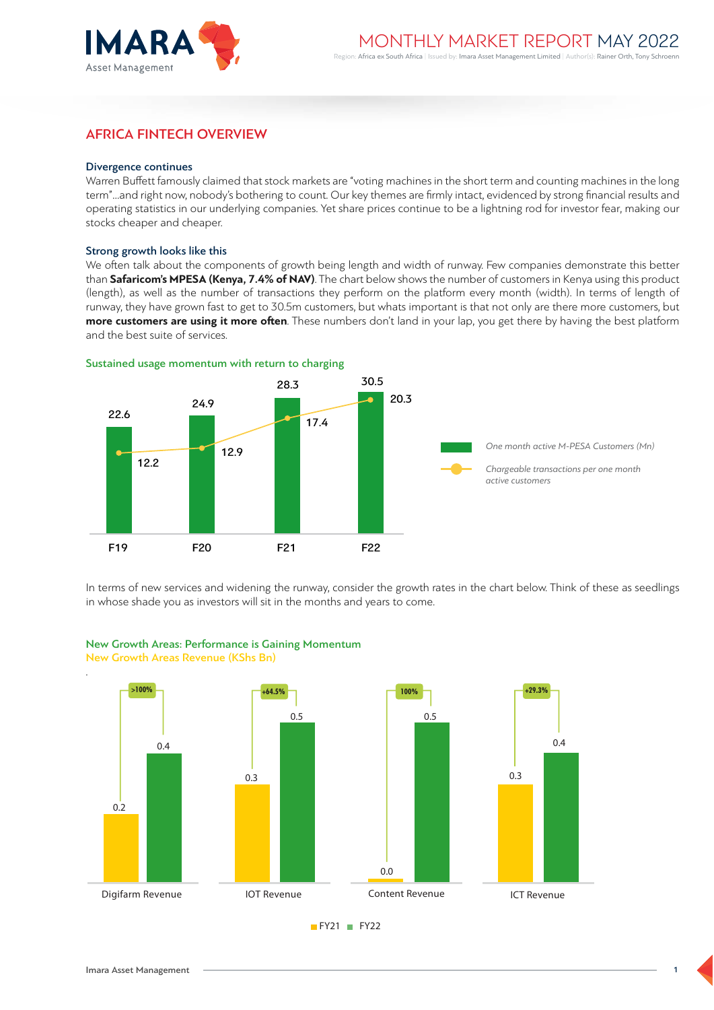

# AFRICA FINTECH OVERVIEW

### Divergence continues

Warren Buffett famously claimed that stock markets are "voting machines in the short term and counting machines in the long term"…and right now, nobody's bothering to count. Our key themes are firmly intact, evidenced by strong financial results and operating statistics in our underlying companies. Yet share prices continue to be a lightning rod for investor fear, making our stocks cheaper and cheaper.

### Strong growth looks like this

We often talk about the components of growth being length and width of runway. Few companies demonstrate this better than **Safaricom's MPESA (Kenya, 7.4% of NAV)**. The chart below shows the number of customers in Kenya using this product (length), as well as the number of transactions they perform on the platform every month (width). In terms of length of runway, they have grown fast to get to 30.5m customers, but whats important is that not only are there more customers, but **more customers are using it more often**. These numbers don't land in your lap, you get there by having the best platform and the best suite of services.



In terms of new services and widening the runway, consider the growth rates in the chart below. Think of these as seedlings in whose shade you as investors will sit in the months and years to come.



# New Growth Areas: Performance is Gaining Momentum New Growth Areas Revenue (KShs Bn)

1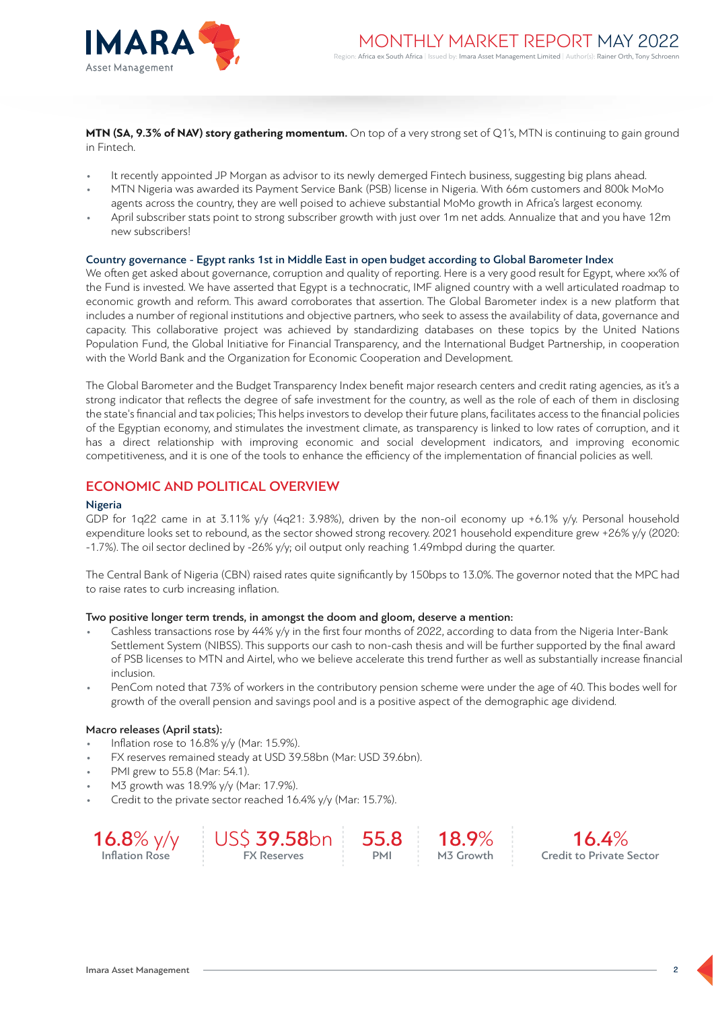

**MTN (SA, 9.3% of NAV) story gathering momentum.** On top of a very strong set of Q1's, MTN is continuing to gain ground in Fintech.

- It recently appointed JP Morgan as advisor to its newly demerged Fintech business, suggesting big plans ahead.
- MTN Nigeria was awarded its Payment Service Bank (PSB) license in Nigeria. With 66m customers and 800k MoMo agents across the country, they are well poised to achieve substantial MoMo growth in Africa's largest economy.
- April subscriber stats point to strong subscriber growth with just over 1m net adds. Annualize that and you have 12m new subscribers!

### Country governance - Egypt ranks 1st in Middle East in open budget according to Global Barometer Index

We often get asked about governance, corruption and quality of reporting. Here is a very good result for Egypt, where xx% of the Fund is invested. We have asserted that Egypt is a technocratic, IMF aligned country with a well articulated roadmap to economic growth and reform. This award corroborates that assertion. The Global Barometer index is a new platform that includes a number of regional institutions and objective partners, who seek to assess the availability of data, governance and capacity. This collaborative project was achieved by standardizing databases on these topics by the United Nations Population Fund, the Global Initiative for Financial Transparency, and the International Budget Partnership, in cooperation with the World Bank and the Organization for Economic Cooperation and Development.

The Global Barometer and the Budget Transparency Index benefit major research centers and credit rating agencies, as it's a strong indicator that reflects the degree of safe investment for the country, as well as the role of each of them in disclosing the state's financial and tax policies; This helps investors to develop their future plans, facilitates access to the financial policies of the Egyptian economy, and stimulates the investment climate, as transparency is linked to low rates of corruption, and it has a direct relationship with improving economic and social development indicators, and improving economic competitiveness, and it is one of the tools to enhance the efficiency of the implementation of financial policies as well.

# ECONOMIC AND POLITICAL OVERVIEW

### Nigeria

GDP for 1q22 came in at 3.11% y/y (4q21: 3.98%), driven by the non-oil economy up +6.1% y/y. Personal household expenditure looks set to rebound, as the sector showed strong recovery. 2021 household expenditure grew +26% y/y (2020: -1.7%). The oil sector declined by -26% y/y; oil output only reaching 1.49mbpd during the quarter.

The Central Bank of Nigeria (CBN) raised rates quite significantly by 150bps to 13.0%. The governor noted that the MPC had to raise rates to curb increasing inflation.

### Two positive longer term trends, in amongst the doom and gloom, deserve a mention:

- Cashless transactions rose by 44% y/y in the first four months of 2022, according to data from the Nigeria Inter-Bank Settlement System (NIBSS). This supports our cash to non-cash thesis and will be further supported by the final award of PSB licenses to MTN and Airtel, who we believe accelerate this trend further as well as substantially increase financial inclusion.
- PenCom noted that 73% of workers in the contributory pension scheme were under the age of 40. This bodes well for growth of the overall pension and savings pool and is a positive aspect of the demographic age dividend.

### Macro releases (April stats):

- Inflation rose to 16.8% y/y (Mar: 15.9%).
- FX reserves remained steady at USD 39.58bn (Mar: USD 39.6bn).
- PMI grew to 55.8 (Mar: 54.1).
- M3 growth was 18.9% y/y (Mar: 17.9%).
- Credit to the private sector reached 16.4% y/y (Mar: 15.7%).

16.8% y/y Inflation Rose USS 39.58hn FX Reserves 55.8 PMI 18.9% M3 Growth 16.4% Credit to Private Sector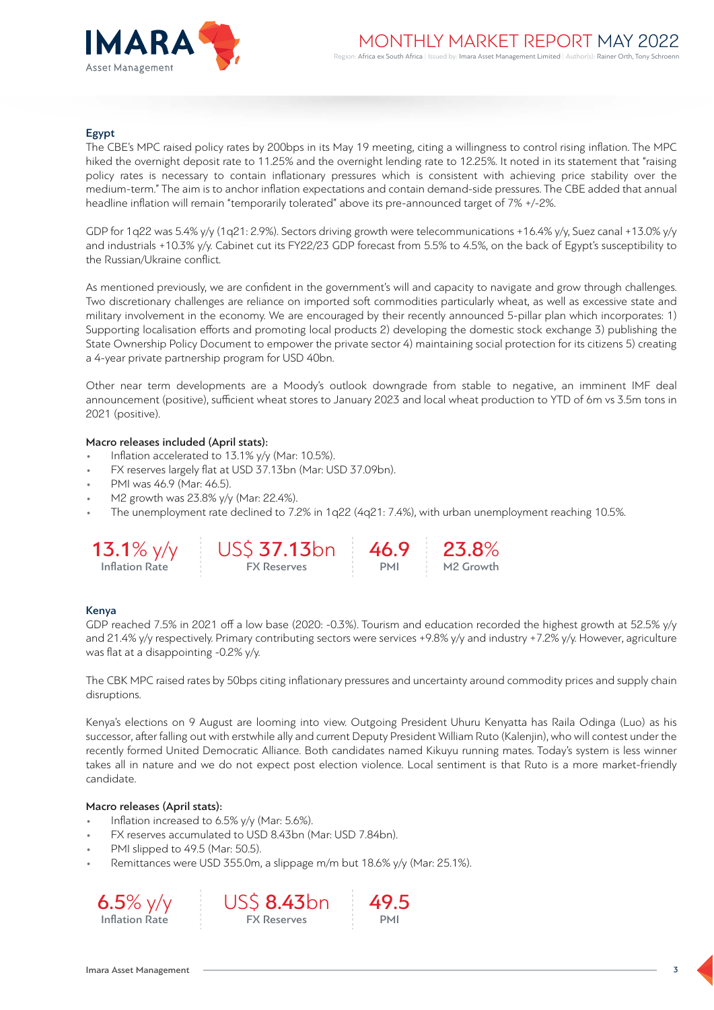

# Egypt

The CBE's MPC raised policy rates by 200bps in its May 19 meeting, citing a willingness to control rising inflation. The MPC hiked the overnight deposit rate to 11.25% and the overnight lending rate to 12.25%. It noted in its statement that "raising policy rates is necessary to contain inflationary pressures which is consistent with achieving price stability over the medium-term." The aim is to anchor inflation expectations and contain demand-side pressures. The CBE added that annual headline inflation will remain "temporarily tolerated" above its pre-announced target of 7% +/-2%.

GDP for 1q22 was 5.4% y/y (1q21: 2.9%). Sectors driving growth were telecommunications +16.4% y/y, Suez canal +13.0% y/y and industrials +10.3% y/y. Cabinet cut its FY22/23 GDP forecast from 5.5% to 4.5%, on the back of Egypt's susceptibility to the Russian/Ukraine conflict.

As mentioned previously, we are confident in the government's will and capacity to navigate and grow through challenges. Two discretionary challenges are reliance on imported soft commodities particularly wheat, as well as excessive state and military involvement in the economy. We are encouraged by their recently announced 5-pillar plan which incorporates: 1) Supporting localisation efforts and promoting local products 2) developing the domestic stock exchange 3) publishing the State Ownership Policy Document to empower the private sector 4) maintaining social protection for its citizens 5) creating a 4-year private partnership program for USD 40bn.

Other near term developments are a Moody's outlook downgrade from stable to negative, an imminent IMF deal announcement (positive), sufficient wheat stores to January 2023 and local wheat production to YTD of 6m vs 3.5m tons in 2021 (positive).

# Macro releases included (April stats):

- Inflation accelerated to 13.1% y/y (Mar: 10.5%).
- FX reserves largely flat at USD 37.13bn (Mar: USD 37.09bn).
- PMI was 46.9 (Mar: 46.5).
- M2 growth was 23.8% y/y (Mar: 22.4%).
- The unemployment rate declined to 7.2% in 1q22 (4q21: 7.4%), with urban unemployment reaching 10.5%.



## Kenya

GDP reached 7.5% in 2021 off a low base (2020: -0.3%). Tourism and education recorded the highest growth at 52.5% y/y and 21.4% y/y respectively. Primary contributing sectors were services +9.8% y/y and industry +7.2% y/y. However, agriculture was flat at a disappointing -0.2% y/y.

The CBK MPC raised rates by 50bps citing inflationary pressures and uncertainty around commodity prices and supply chain disruptions.

Kenya's elections on 9 August are looming into view. Outgoing President Uhuru Kenyatta has Raila Odinga (Luo) as his successor, after falling out with erstwhile ally and current Deputy President William Ruto (Kalenjin), who will contest under the recently formed United Democratic Alliance. Both candidates named Kikuyu running mates. Today's system is less winner takes all in nature and we do not expect post election violence. Local sentiment is that Ruto is a more market-friendly candidate.

### Macro releases (April stats):

- Inflation increased to 6.5% y/y (Mar: 5.6%).
- FX reserves accumulated to USD 8.43bn (Mar: USD 7.84bn).
- PMI slipped to 49.5 (Mar: 50.5).
- Remittances were USD 355.0m, a slippage m/m but 18.6% y/y (Mar: 25.1%).





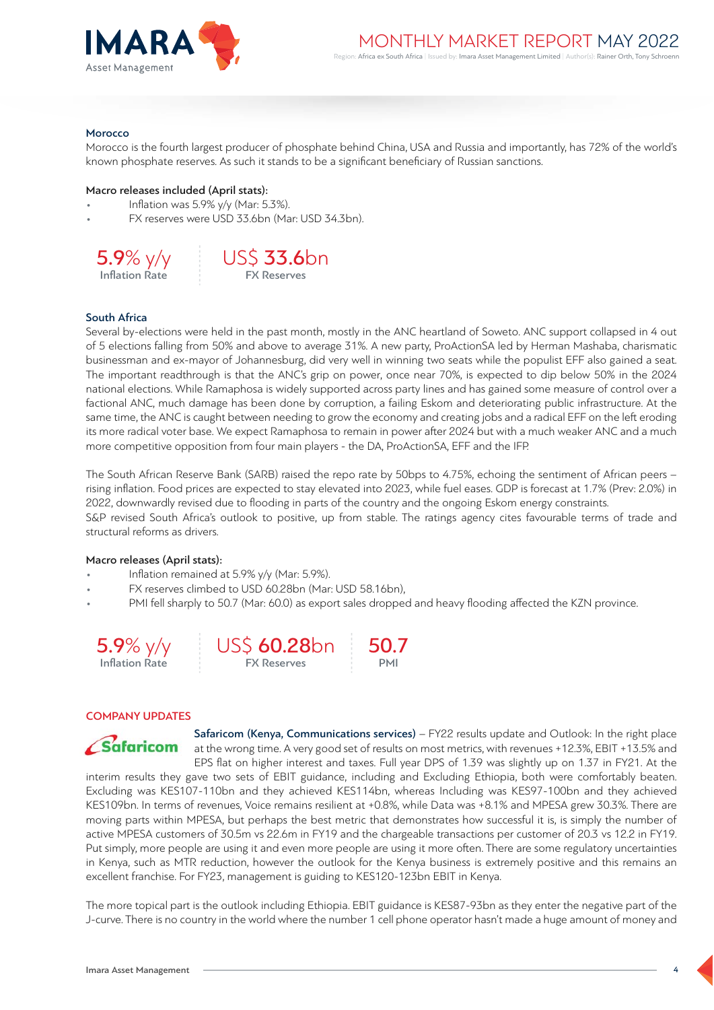

### Morocco

Morocco is the fourth largest producer of phosphate behind China, USA and Russia and importantly, has 72% of the world's known phosphate reserves. As such it stands to be a significant beneficiary of Russian sanctions.

### Macro releases included (April stats):

- Inflation was 5.9% y/y (Mar: 5.3%).
- FX reserves were USD 33.6bn (Mar: USD 34.3bn).





### South Africa

Several by-elections were held in the past month, mostly in the ANC heartland of Soweto. ANC support collapsed in 4 out of 5 elections falling from 50% and above to average 31%. A new party, ProActionSA led by Herman Mashaba, charismatic businessman and ex-mayor of Johannesburg, did very well in winning two seats while the populist EFF also gained a seat. The important readthrough is that the ANC's grip on power, once near 70%, is expected to dip below 50% in the 2024 national elections. While Ramaphosa is widely supported across party lines and has gained some measure of control over a factional ANC, much damage has been done by corruption, a failing Eskom and deteriorating public infrastructure. At the same time, the ANC is caught between needing to grow the economy and creating jobs and a radical EFF on the left eroding its more radical voter base. We expect Ramaphosa to remain in power after 2024 but with a much weaker ANC and a much more competitive opposition from four main players - the DA, ProActionSA, EFF and the IFP.

The South African Reserve Bank (SARB) raised the repo rate by 50bps to 4.75%, echoing the sentiment of African peers – rising inflation. Food prices are expected to stay elevated into 2023, while fuel eases. GDP is forecast at 1.7% (Prev: 2.0%) in 2022, downwardly revised due to flooding in parts of the country and the ongoing Eskom energy constraints. S&P revised South Africa's outlook to positive, up from stable. The ratings agency cites favourable terms of trade and structural reforms as drivers.

### Macro releases (April stats):

- Inflation remained at 5.9% y/y (Mar: 5.9%).
- FX reserves climbed to USD 60.28bn (Mar: USD 58.16bn),
- PMI fell sharply to 50.7 (Mar: 60.0) as export sales dropped and heavy flooding affected the KZN province.





50.7 PMI

### COMPANY UPDATES



Safaricom (Kenya, Communications services) – FY22 results update and Outlook: In the right place at the wrong time. A very good set of results on most metrics, with revenues +12.3%, EBIT +13.5% and EPS flat on higher interest and taxes. Full year DPS of 1.39 was slightly up on 1.37 in FY21. At the interim results they gave two sets of EBIT guidance, including and Excluding Ethiopia, both were comfortably beaten. Excluding was KES107-110bn and they achieved KES114bn, whereas Including was KES97-100bn and they achieved KES109bn. In terms of revenues, Voice remains resilient at +0.8%, while Data was +8.1% and MPESA grew 30.3%. There are moving parts within MPESA, but perhaps the best metric that demonstrates how successful it is, is simply the number of active MPESA customers of 30.5m vs 22.6m in FY19 and the chargeable transactions per customer of 20.3 vs 12.2 in FY19. Put simply, more people are using it and even more people are using it more often. There are some regulatory uncertainties in Kenya, such as MTR reduction, however the outlook for the Kenya business is extremely positive and this remains an excellent franchise. For FY23, management is guiding to KES120-123bn EBIT in Kenya.

The more topical part is the outlook including Ethiopia. EBIT guidance is KES87-93bn as they enter the negative part of the J-curve. There is no country in the world where the number 1 cell phone operator hasn't made a huge amount of money and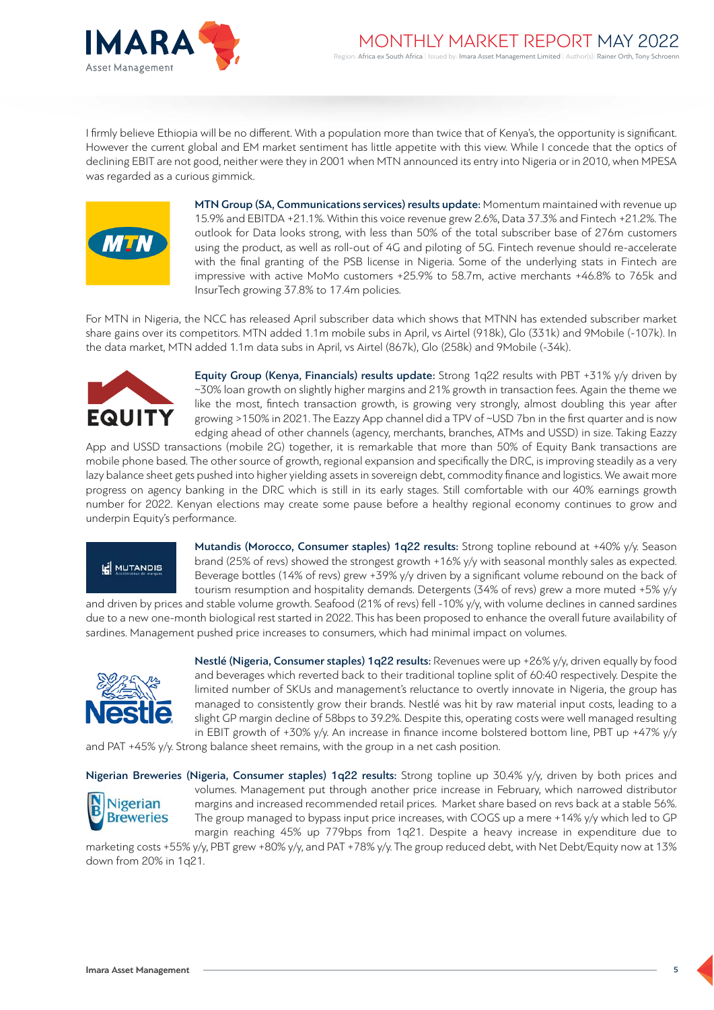

I firmly believe Ethiopia will be no different. With a population more than twice that of Kenya's, the opportunity is significant. h l However the current global and EM market sentiment has little appetite with this view. While I concede that the optics of declining EBIT are not good, neither were they in 2001 when MTN announced its entry into Nigeria or in 2010, when MPESA was regarded as a curious gimmick.



MTN Group (SA, Communications services) results update: Momentum maintained with revenue up 15.9% and EBITDA +21.1%. Within this voice revenue grew 2.6%, Data 37.3% and Fintech +21.2%. The outlook for Data looks strong, with less than 50% of the total subscriber base of 276m customers using the product, as well as roll-out of 4G and piloting of 5G. Fintech revenue should re-accelerate with the final granting of the PSB license in Nigeria. Some of the underlying stats in Fintech are impressive with active MoMo customers +25.9% to 58.7m, active merchants +46.8% to 765k and InsurTech growing 37.8% to 17.4m policies.

For MTN in Nigeria, the NCC has released April subscriber data which shows that MTNN has extended subscriber market share gains over its competitors. MTN added 1.1m mobile subs in April, vs Airtel (918k), Glo (331k) and 9Mobile (-107k). In the data market, MTN added 1.1m data subs in April, vs Airtel (867k), Glo (258k) and 9Mobile (-34k).



Equity Group (Kenya, Financials) results update: Strong 1q22 results with PBT +31% y/y driven by ~30% loan growth on slightly higher margins and 21% growth in transaction fees. Again the theme we like the most, fintech transaction growth, is growing very strongly, almost doubling this year after growing >150% in 2021. The Eazzy App channel did a TPV of ~USD 7bn in the first quarter and is now edging ahead of other channels (agency, merchants, branches, ATMs and USSD) in size. Taking Eazzy

App and USSD transactions (mobile 2G) together, it is remarkable that more than 50% of Equity Bank transactions are mobile phone based. The other source of growth, regional expansion and specifically the DRC, is improving steadily as a very lazy balance sheet gets pushed into higher yielding assets in sovereign debt, commodity finance and logistics. We await more progress on agency banking in the DRC which is still in its early stages. Still comfortable with our 40% earnings growth number for 2022. Kenyan elections may create some pause before a healthy regional economy continues to grow and underpin Equity's performance.

# **IE** MUTANDIS

Mutandis (Morocco, Consumer staples) 1q22 results: Strong topline rebound at +40% y/y. Season brand (25% of revs) showed the strongest growth +16% y/y with seasonal monthly sales as expected. Beverage bottles (14% of revs) grew +39% y/y driven by a significant volume rebound on the back of tourism resumption and hospitality demands. Detergents (34% of revs) grew a more muted +5% y/y

and driven by prices and stable volume growth. Seafood (21% of revs) fell -10% y/y, with volume declines in canned sardines due to a new one-month biological rest started in 2022. This has been proposed to enhance the overall future availability of sardines. Management pushed price increases to consumers, which had minimal impact on volumes.



Nestlé (Nigeria, Consumer staples) 1q22 results: Revenues were up +26% y/y, driven equally by food and beverages which reverted back to their traditional topline split of 60:40 respectively. Despite the limited number of SKUs and management's reluctance to overtly innovate in Nigeria, the group has managed to consistently grow their brands. Nestlé was hit by raw material input costs, leading to a slight GP margin decline of 58bps to 39.2%. Despite this, operating costs were well managed resulting in EBIT growth of +30% y/y. An increase in finance income bolstered bottom line, PBT up +47% y/y

and PAT +45% y/y. Strong balance sheet remains, with the group in a net cash position.

Nigerian Breweries (Nigeria, Consumer staples) 1q22 results: Strong topline up 30.4% y/y, driven by both prices and



volumes. Management put through another price increase in February, which narrowed distributor margins and increased recommended retail prices. Market share based on revs back at a stable 56%. The group managed to bypass input price increases, with COGS up a mere +14% y/y which led to GP margin reaching 45% up 779bps from 1q21. Despite a heavy increase in expenditure due to

marketing costs +55% y/y, PBT grew +80% y/y, and PAT +78% y/y. The group reduced debt, with Net Debt/Equity now at 13% down from 20% in 1q21.